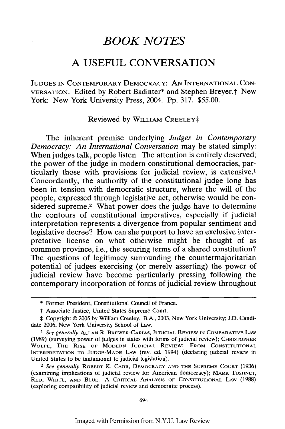## *BOOK NOTES*

## A USEFUL CONVERSATION

JUDGES **IN** CONTEMPORARY DEMOCRACY: **AN** INTERNATIONAL CON-VERSATION. Edited by Robert Badinter\* and Stephen Breyer.† New York: New York University Press, 2004. Pp. 317. \$55.00.

Reviewed by WILLIAM CREELEYt

The inherent premise underlying *Judges in Contemporary Democracy: An International Conversation* may be stated simply: When judges talk, people listen. The attention is entirely deserved; the power of the judge in modern constitutional democracies, particularly those with provisions for judicial review, is extensive.1 Concordantly, the authority of the constitutional judge long has been in tension with democratic structure, where the will of the people, expressed through legislative act, otherwise would be considered supreme.<sup>2</sup> What power does the judge have to determine the contours of constitutional imperatives, especially if judicial interpretation represents a divergence from popular sentiment and legislative decree? How can she purport to have an exclusive interpretative license on what otherwise might be thought of as common province, i.e., the securing terms of a shared constitution? The questions of legitimacy surrounding the countermajoritarian potential of judges exercising (or merely asserting) the power of judicial review have become particularly pressing following the contemporary incorporation of forms of judicial review throughout

<sup>\*</sup> Former President, Constitutional Council of France.

t Associate Justice, United States Supreme Court.

t Copyright © 2005 by William Creeley. B.A., 2003, New York University; J.D. Candidate 2006, New York University School of Law.

*I See generally* **ALLAN** R. BREWER-CARfAS, **JUDICIAL** REVIEW **IN** COMPARATIVE LAW (1989) (surveying power of judges in states with forms of judicial review); CHRISTOPHER WOLFE, THE RISE OF MODERN **JUDICIAL** REVIEW: FROM **CONSTITUTIONAL** INTERPRETATION TO **JUDGE-MADE** LAW (rev. ed. 1994) (declaring judicial review in United States to be tantamount to judicial legislation).

*<sup>2</sup> See generally* ROBERT K. CARR, DEMOCRACY **AND** THE **SUPREME COURT** (1936) (examining implications of judicial review for American democracy); MARK **TUSHNET, RED,** WHITE, **AND BLUE:** A CRITICAL **ANALYSIS** OF CONSTITUTIONAL LAW (1988) (exploring compatibility of judicial review and democratic process).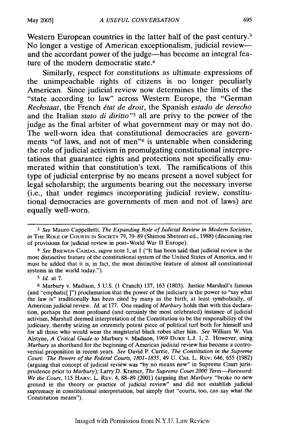Western European countries in the latter half of the past century.<sup>3</sup> No longer a vestige of American exceptionalism, judicial reviewand the accordant power of the judge-has become an integral feature of the modern democratic state.<sup>4</sup>

Similarly, respect for constitutions as ultimate expressions of the unimpeachable rights of citizens is no longer peculiarly American. Since judicial review now determines the limits of the "state according to law" across Western Europe, the "German *Rechstaat,* the French *6tat de droit,* the Spanish *estado de derecho* and the Italian *stato di diritto' '5* all are privy to the power of the judge as the final arbiter of what government may or may not do. The well-worn idea that constitutional democracies are governments "of laws, and not of men"<sup>6</sup> is untenable when considering the role of judicial activism in promulgating constitutional interpretations that guarantee rights and protections not specifically enumerated within that constitution's text. The ramifications of this type of judicial enterprise **by** no means present a novel subject for legal scholarship; the arguments bearing out the necessary inverse (i.e., that under regimes incorporating judicial review, constitutional democracies are governments of men and not of laws) are equally well-worn.

*5 Id.* at 7.

**6** Marbury v. Madison, 5 U.S. **(1** Cranch) 137, **163** (1803). Justice Marshall's famous (and "emphatic[ **]")** proclamation that the power of the judiciary is the power to "say what the law is" traditionally has been cited by many as the birth, at least symbolically, of American judicial review. *Id.* at 177. One reading of *Marbury* holds that with this declaration, perhaps the most profound (and certainly the most celebrated) instance of judicial activism, Marshall deemed interpretation of the Constitution to be the responsibility of the judiciary, thereby seizing an extremely potent piece of political turf both for himself and for all those who would wear the magisterial black robes after him. *See* William W. Van Alstyne, *A Critical Guide to* Marbury v. Madison, 1969 **DUKE** L.J. **1,** 2. However, using *Marbury* as shorthand for the beginning of American judicial review has become a controversial proposition in recent years. *See* David P. Currie, *The Constitution in the Supreme Court: The Powers of the Federal Courts, 1801-1835,* 49 U. CHI. L. REv. 646, 655 (1982) (arguing that concept of judicial review was "by no means new" in Supreme Court jurisprudence prior to *Marbury);* Larry D. Kramer, *The Supreme Court 2000 Term-Foreword: We the Court,* 115 HARV. L. REV. 4, 88-89 (2001) (arguing that *Marbury* "broke no new ground in the theory or practice of judicial review" and did not establish judicial supremacy in constitutional interpretation, but simply that "courts, too, can say what the Constitution means").

*<sup>3</sup> See* Mauro Cappelletti, *The Expanding Role of Judicial Review in Modem Societies, in* THE ROLE OF **COURTS IN** SOCIETY 79, 79-89 (Shimon Shetreet ed., 1988) (discussing rise of provisions for judicial review in post-World War II Europe).

*<sup>4</sup> See* BREWER-CARIAS, *supra* note 1, at **1** ("It has been said that judicial review is the most distinctive feature of the constitutional system of the United States of America, and it must be added that it is, in fact, the most distinctive feature of almost all constitutional systems in the world today.").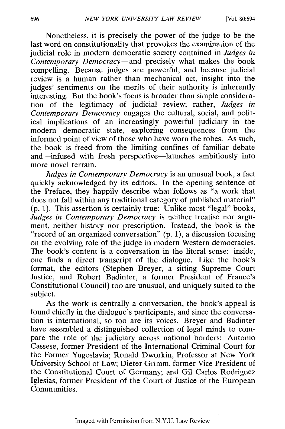Nonetheless, it is precisely the power of the judge to be the last word on constitutionality that provokes the examination of the judicial role in modern democratic society contained in *Judges in Contemporary Democracy-and* precisely what makes the book compelling. Because judges are powerful, and because judicial review is a human rather than mechanical act, insight into the judges' sentiments on the merits of their authority is inherently interesting. But the book's focus is broader than simple consideration of the legitimacy of judicial review; rather, *Judges in Contemporary Democracy* engages the cultural, social, and political implications of an increasingly powerful judiciary in the modern democratic state, exploring consequences from the informed point of view of those who have worn the robes. As such, the book is freed from the limiting confines of familiar debate and-infused with fresh perspective-launches ambitiously into more novel terrain.

*Judges in Contemporary Democracy* is an unusual book, a fact quickly acknowledged by its editors. In the opening sentence of the Preface, they happily describe what follows as "a work that does not fall within any traditional category of published material" (p. 1). This assertion is certainly true: Unlike most "legal" books, *Judges in Contemporary Democracy* is neither treatise nor argument, neither history nor prescription. Instead, the book is the "record of an organized conversation" (p. 1), a discussion focusing on the evolving role of the judge in modern Western democracies. The book's content is a conversation in the literal sense: inside, one finds a direct transcript of the dialogue. Like the book's format, the editors (Stephen Breyer, a sitting Supreme Court Justice, and Robert Badinter, a former President of France's Constitutional Council) too are unusual, and uniquely suited to the subject.

As the work is centrally a conversation, the book's appeal is found chiefly in the dialogue's participants, and since the conversation is international, so too are its voices. Breyer and Badinter have assembled a distinguished collection of legal minds to compare the role of the judiciary across national borders: Antonio Cassese, former President of the International Criminal Court for the Former Yugoslavia; Ronald Dworkin, Professor at New York University School of Law; Dieter Grimm, former Vice President of the Constitutional Court of Germany; and Gil Carlos Rodriguez Iglesias, former President of the Court of Justice of the European Communities.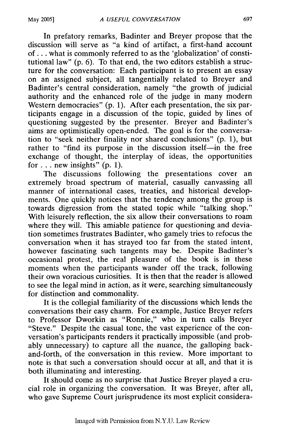In prefatory remarks, Badinter and Breyer propose that the discussion will serve as "a kind of artifact, a first-hand account of... what is commonly referred to as the 'globalization' of constitutional law" (p. 6). To that end, the two editors establish a structure for the conversation: Each participant is to present an essay on an assigned subject, all tangentially related to Breyer and Badinter's central consideration, namely "the growth of judicial authority and the enhanced role of the judge in many modern Western democracies" (p. 1). After each presentation, the six participants engage in a discussion of the topic, guided by lines of questioning suggested by the presenter. Breyer and Badinter's aims are optimistically open-ended. The goal is for the conversation to "seek neither finality nor shared conclusions" (p. 1), but rather to "find its purpose in the discussion itself-in the free exchange of thought, the interplay of ideas, the opportunities for  $\ldots$  new insights" (p. 1).

The discussions following the presentations cover an extremely broad spectrum of material, casually canvassing all manner of international cases, treaties, and historical developments. One quickly notices that the tendency among the group is towards digression from the stated topic while "talking shop." With leisurely reflection, the six allow their conversations to roam where they will. This amiable patience for questioning and deviation sometimes frustrates Badinter, who gamely tries to refocus the conversation when it has strayed too far from the stated intent, however fascinating such tangents may be. Despite Badinter's occasional protest, the real pleasure of the book is in these moments when the participants wander off the track, following their own voracious curiosities. It is then that the reader is allowed to see the legal mind in action, as it were, searching simultaneously for distinction and commonality.

It is the collegial familiarity of the discussions which lends the conversations their easy charm. For example, Justice Breyer refers to Professor Dworkin as "Ronnie," who in turn calls Breyer "Steve." Despite the casual tone, the vast experience of the conversation's participants renders it practically impossible (and probably unnecessary) to capture all the nuance, the galloping backand-forth, of the conversation in this review. More important to note is that such a conversation should occur at all, and that it is both illuminating and interesting.

It should come as no surprise that Justice Breyer played a crucial role in organizing the conversation. It was Breyer, after all, who gave Supreme Court jurisprudence its most explicit considera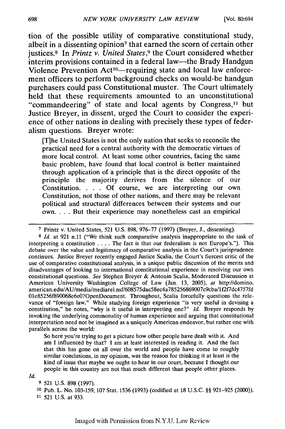tion of the possible utility of comparative constitutional study, albeit in a dissenting opinion<sup>7</sup> that earned the scorn of certain other justices.<sup>8</sup> In *Printz v. United States*,<sup>9</sup> the Court considered whether interim provisions contained in a federal law-the Brady Handgun Violence Prevention Act<sup>10</sup>—requiring state and local law enforcement officers to perform background checks on would-be handgun purchasers could pass Constitutional muster. The Court ultimately held that these requirements amounted to an unconstitutional "commandeering" of state and local agents **by** Congress,11 but Justice Breyer, in dissent, urged the Court to consider the experience of other nations in dealing with precisely these types of federalism questions. Breyer wrote:

ITihe United States is not the only nation that seeks to reconcile the practical need for a central authority with the democratic virtues of more local control. At least some other countries, facing the same basic problem, have found that local control is better maintained through application of a principle that is the direct opposite of the principle the majority derives from the silence of our Constitution. **. .** . Of course, we are interpreting our own Constitution, not those of other nations, and there may be relevant political and structural differences between their systems and our own **....** But their experience may nonetheless cast an empirical

So here you're trying to get a picture how other people have dealt with it. And am I influenced by that? I am at least interested in reading it. And the fact that this has gone on all over the world and people have come to roughly similar conclusions, in my opinion, was the reason for thinking it at least is the kind of issue that maybe we ought to hear in our court, because I thought our people in this country are not that much different than people other places.

**Id.**

11 521 U.S. at 933.

<sup>7</sup> Printz v. United States, 521 U.S. 898, 976-77 (1997) (Breyer, J., dissenting).

<sup>8</sup> Id. at 921 n.11 ("We think such comparative analysis inappropriate to the task of interpreting a constitution **.. .** . The fact is that our federalism is not Europe's."). This debate over the value and legitimacy of comparative analysis in the Court's jurisprudence continues. Justice Breyer recently engaged Justice Scalia, the Court's fiercest critic of the use of comparative constitutional analysis, in a unique public discussion of the merits and disadvantages of looking to international constitutional experience in resolving our own constitutional questions. *See* Stephen Breyer & Antonin Scalia, Moderated Discussion at American University Washington College of Law (Jan. 13, 2005), *at* http://domino. american.edu/AU/media/mediarel.nsf/608575dac58ec4a785256869007c9cba/1f2f7dc4757fd 01e85256f890068e6e0?OpenDocument. Throughout, Scalia forcefully questions the relevance of "foreign law." While studying foreign experience "is very useful in devising a constitution," he notes, "why is it useful in interpreting one?" *Id.* Breyer responds by invoking the underlying commonality of human experience and arguing that constitutional interpretation need not be imagined as a uniquely American endeavor, but rather one with parallels across the world:

<sup>9 521</sup> U.S. 898 (1997).

<sup>10</sup> Pub. L. No. 103-159, 107 Stat. 1536 (1993) (codified at 18 U.S.C. §§ 921-925 (2000)).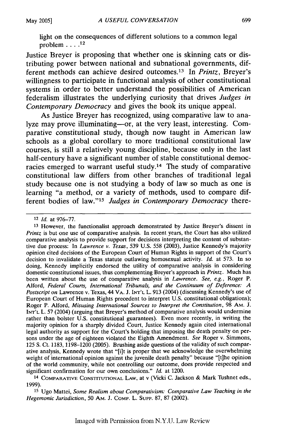light on the consequences of different solutions to a common legal problem **.... 12**

Justice Breyer is proposing that whether one is skinning cats or distributing power between national and subnational governments, different methods can achieve desired outcomes. 13 In *Printz,* Breyer's willingness to participate in functional analysis of other constitutional systems in order to better understand the possibilities of American federalism illustrates the underlying curiosity that drives *Judges in Contemporary Democracy* and gives the book its unique appeal.

As Justice Breyer has recognized, using comparative law to analyze may prove illuminating-or, at the very least, interesting. Comparative constitutional study, though now taught in American law schools as a global corollary to more traditional constitutional law courses, is still a relatively young discipline, because only in the last half-century have a significant number of stable constitutional democracies emerged to warrant useful study. 14 The study of comparative constitutional law differs from other branches of traditional legal study because one is not studying a body of law so much as one is learning "a method, or a variety of methods, used to compare different bodies of law."<sup>15</sup> Judges in Contemporary Democracy there-

14 COMPARATIVE CONSTITUTIONAL LAW, at v (Vicki C. Jackson & Mark Tushnet eds., 1999).

**<sup>15</sup>**Ugo Mattei, *Some Realism about Comparativism: Comparative Law Teaching in the Hegemonic Jurisdiction,* 50 AM. **J.** COMP. L. Supp. 87, 87 (2002).

<sup>12</sup> *Id.* at 976-77.

**<sup>13</sup>**However, the functionalist approach demonstrated by Justice Breyer's dissent in *Printz* is but one use of comparative analysis. In recent years, the Court has also utilized comparative analysis to provide support for decisions interpreting the content of substantive due process: In *Lawrence v. Texas,* 539 U.S. 558 (2003), Justice Kennedy's majority opinion cited decisions of the European Court of Human Rights in support of the Court's decision to invalidate a Texas statute outlawing homosexual activity. *Id.* at 573. In so doing, Kennedy implicitly endorsed the utility of comparative analysis in considering domestic constitutional issues, thus complementing Breyer's approach in *Printz.* Much has been written about the use of comparative analysis in *Lawrence. See, e.g.,* Roger P. Alford, Federal Courts, International Tribunals, and the Continuum of Deference: A Postscript on Lawrence v. Texas, 44 VA. J. INT'L L. 913 (2004) (discussing Kennedy's use of European Court of Human Rights precedent to interpret U.S. constitutional obligations); Roger P. Alford, *Misusing International Sources to Interpret the Constitution,* 98 AM. J. **INr'L** L. 57 (2004) (arguing that Breyer's method of comparative analysis would undermine rather than bolster U.S. constitutional guarantees). Even more recently, in writing the majority opinion for a sharply divided Court, Justice Kennedy again cited international legal authority as support for the Court's holding that imposing the death penalty on persons under the age of eighteen violated the Eighth Amendment. *See* Roper v. Simmons, 125 **S.** Ct. 1183, 1198-1200 (2005). Brushing aside questions of the validity of such comparative analysis, Kennedy wrote that "[i]t is proper that we acknowledge the overwhelming weight of international opinion against the juvenile death penalty" because "[t]he opinion of the world community, while not controlling our outcome, does provide respected and significant confirmation for our own conclusions." Id. at 1200.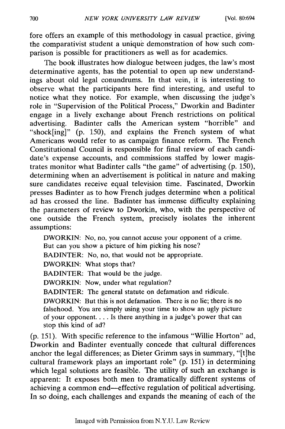fore offers an example of this methodology in casual practice, giving the comparativist student a unique demonstration of how such comparison is possible for practitioners as well as for academics.

The book illustrates how dialogue between judges, the law's most determinative agents, has the potential to open up new understandings about old legal conundrums. In that vein, it is interesting to observe what the participants here find interesting, and useful to notice what they notice. For example, when discussing the judge's role in "Supervision of the Political Process," Dworkin and Badinter engage in a lively exchange about French restrictions on political advertising. Badinter calls the American system "horrible" and "shock[ing]" (p. 150), and explains the French system of what Americans would refer to as campaign finance reform. The French Constitutional Council is responsible for final review of each candidate's expense accounts, and commissions staffed by lower magistrates monitor what Badinter calls "the game" of advertising (p. 150), determining when an advertisement is political in nature and making sure candidates receive equal television time. Fascinated, Dworkin presses Badinter as to how French judges determine when a political ad has crossed the line. Badinter has immense difficulty explaining the parameters of review to Dworkin, who, with the perspective of one outside the French system, precisely isolates the inherent assumptions:

DWORKIN: No, no, you cannot accuse your opponent of a crime. But can you show a picture of him picking his nose? BADINTER: No, no, that would not be appropriate. DWORKIN: What stops that? BADINTER: That would be the judge. DWORKIN: Now, under what regulation? BADINTER: The general statute on defamation and ridicule. DWORKIN: But this is not defamation. There is no lie; there is no falsehood. You are simply using your time to show an ugly picture of your opponent **....** Is there anything in a judge's power that can stop this kind of ad?

(p. 151). With specific reference to the infamous "Willie Horton" ad, Dworkin and Badinter eventually concede that cultural differences anchor the legal differences; as Dieter Grimm says in summary, "[t]he cultural framework plays an important role" (p. 151) in determining which legal solutions are feasible. The utility of such an exchange is apparent: It exposes both men to dramatically different systems of achieving a common end-effective regulation of political advertising. In so doing, each challenges and expands the meaning of each of the